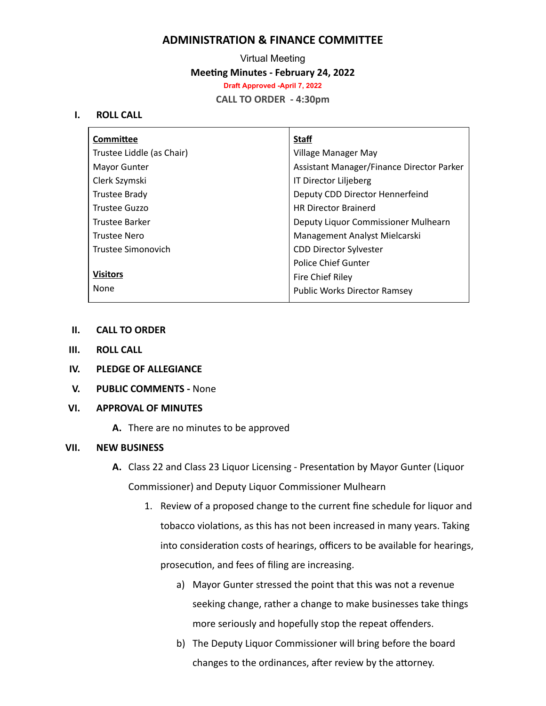# **ADMINISTRATION & FINANCE COMMITTEE**

Virtual Meeting **Meeting Minutes - February 24, 2022 Draft Approved -April 7, 2022 CALL TO ORDER - 4:30pm**

#### **I. ROLL CALL**

| Committee                 | <b>Staff</b>                              |
|---------------------------|-------------------------------------------|
| Trustee Liddle (as Chair) | Village Manager May                       |
| <b>Mayor Gunter</b>       | Assistant Manager/Finance Director Parker |
| Clerk Szymski             | IT Director Liljeberg                     |
| Trustee Brady             | Deputy CDD Director Hennerfeind           |
| Trustee Guzzo             | <b>HR Director Brainerd</b>               |
| Trustee Barker            | Deputy Liquor Commissioner Mulhearn       |
| <b>Trustee Nero</b>       | Management Analyst Mielcarski             |
| Trustee Simonovich        | <b>CDD Director Sylvester</b>             |
|                           | <b>Police Chief Gunter</b>                |
| <b>Visitors</b>           | Fire Chief Riley                          |
| None                      | <b>Public Works Director Ramsey</b>       |

- **II. CALL TO ORDER**
- **III. ROLL CALL**
- **IV. PLEDGE OF ALLEGIANCE**
- **V. PUBLIC COMMENTS -** None

### **VI. APPROVAL OF MINUTES**

**A.** There are no minutes to be approved

## **VII. NEW BUSINESS**

- **A.** Class 22 and Class 23 Liquor Licensing Presentation by Mayor Gunter (Liquor Commissioner) and Deputy Liquor Commissioner Mulhearn
	- 1. Review of a proposed change to the current fine schedule for liquor and tobacco violations, as this has not been increased in many years. Taking into consideration costs of hearings, officers to be available for hearings, prosecution, and fees of filing are increasing.
		- a) Mayor Gunter stressed the point that this was not a revenue seeking change, rather a change to make businesses take things more seriously and hopefully stop the repeat offenders.
		- b) The Deputy Liquor Commissioner will bring before the board changes to the ordinances, after review by the attorney.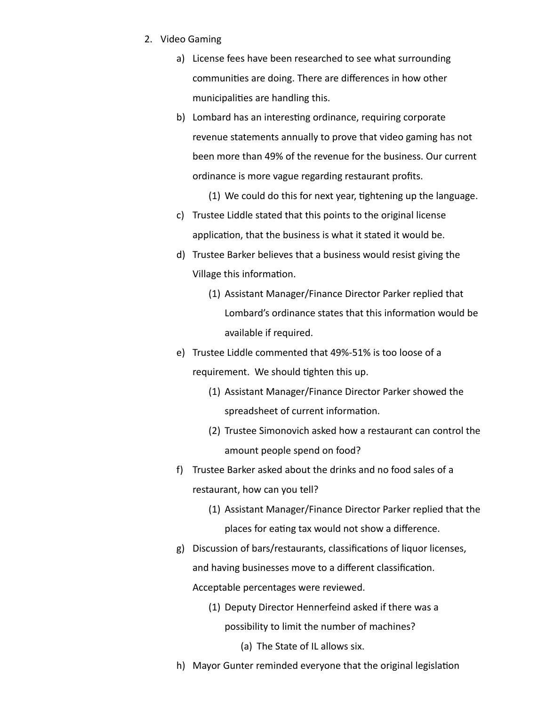- 2. Video Gaming
	- a) License fees have been researched to see what surrounding communities are doing. There are differences in how other municipalities are handling this.
	- b) Lombard has an interesting ordinance, requiring corporate revenue statements annually to prove that video gaming has not been more than 49% of the revenue for the business. Our current ordinance is more vague regarding restaurant profits.
		- $(1)$  We could do this for next year, tightening up the language.
	- c) Trustee Liddle stated that this points to the original license application, that the business is what it stated it would be.
	- d) Trustee Barker believes that a business would resist giving the Village this information.
		- (1) Assistant Manager/Finance Director Parker replied that Lombard's ordinance states that this information would be available if required.
	- e) Trustee Liddle commented that 49%-51% is too loose of a requirement. We should tighten this up.
		- (1) Assistant Manager/Finance Director Parker showed the spreadsheet of current information.
		- (2) Trustee Simonovich asked how a restaurant can control the amount people spend on food?
	- f) Trustee Barker asked about the drinks and no food sales of a restaurant, how can you tell?
		- (1) Assistant Manager/Finance Director Parker replied that the places for eating tax would not show a difference.
	- g) Discussion of bars/restaurants, classifications of liquor licenses, and having businesses move to a different classification. Acceptable percentages were reviewed.
		- (1) Deputy Director Hennerfeind asked if there was a possibility to limit the number of machines?
			- (a) The State of IL allows six.
	- h) Mayor Gunter reminded everyone that the original legislation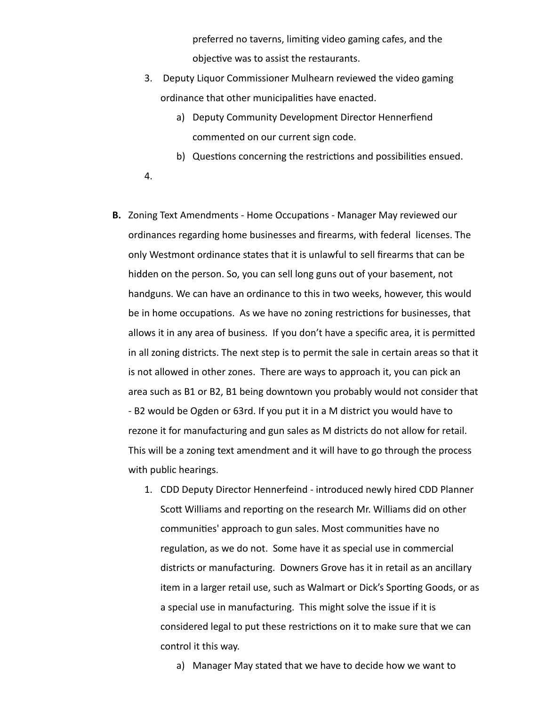preferred no taverns, limiting video gaming cafes, and the objective was to assist the restaurants.

- 3. Deputy Liquor Commissioner Mulhearn reviewed the video gaming ordinance that other municipalities have enacted.
	- a) Deputy Community Development Director Hennerfiend commented on our current sign code.
	- b) Questions concerning the restrictions and possibilities ensued.
- 4.
- **B.** Zoning Text Amendments Home Occupations Manager May reviewed our ordinances regarding home businesses and firearms, with federal licenses. The only Westmont ordinance states that it is unlawful to sell firearms that can be hidden on the person. So, you can sell long guns out of your basement, not handguns. We can have an ordinance to this in two weeks, however, this would be in home occupations. As we have no zoning restrictions for businesses, that allows it in any area of business. If you don't have a specific area, it is permitted in all zoning districts. The next step is to permit the sale in certain areas so that it is not allowed in other zones. There are ways to approach it, you can pick an area such as B1 or B2, B1 being downtown you probably would not consider that - B2 would be Ogden or 63rd. If you put it in a M district you would have to rezone it for manufacturing and gun sales as M districts do not allow for retail. This will be a zoning text amendment and it will have to go through the process with public hearings.
	- 1. CDD Deputy Director Hennerfeind introduced newly hired CDD Planner Scott Williams and reporting on the research Mr. Williams did on other communities' approach to gun sales. Most communities have no regulation, as we do not. Some have it as special use in commercial districts or manufacturing. Downers Grove has it in retail as an ancillary item in a larger retail use, such as Walmart or Dick's Sporting Goods, or as a special use in manufacturing. This might solve the issue if it is considered legal to put these restrictions on it to make sure that we can control it this way.
		- a) Manager May stated that we have to decide how we want to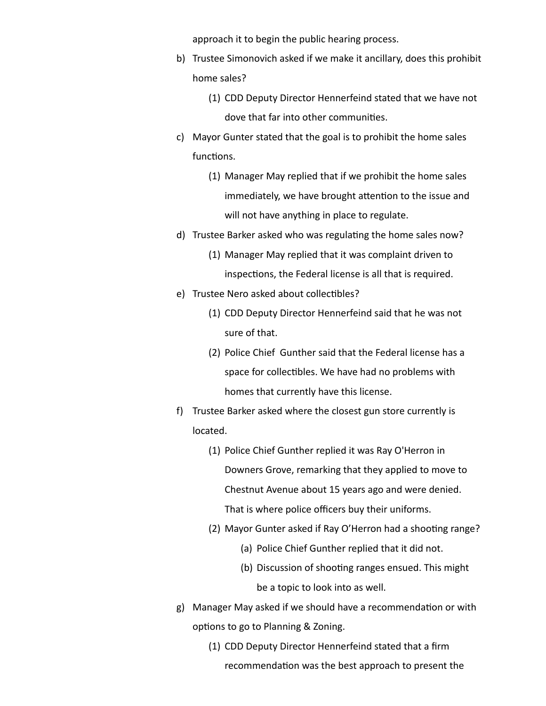approach it to begin the public hearing process.

- b) Trustee Simonovich asked if we make it ancillary, does this prohibit home sales?
	- (1) CDD Deputy Director Hennerfeind stated that we have not dove that far into other communities.
- c) Mayor Gunter stated that the goal is to prohibit the home sales functions.
	- (1) Manager May replied that if we prohibit the home sales immediately, we have brought attention to the issue and will not have anything in place to regulate.
- d) Trustee Barker asked who was regulating the home sales now?
	- (1) Manager May replied that it was complaint driven to inspections, the Federal license is all that is required.
- e) Trustee Nero asked about collectibles?
	- (1) CDD Deputy Director Hennerfeind said that he was not sure of that.
	- (2) Police Chief Gunther said that the Federal license has a space for collectibles. We have had no problems with homes that currently have this license.
- f) Trustee Barker asked where the closest gun store currently is located.
	- (1) Police Chief Gunther replied it was Ray O'Herron in Downers Grove, remarking that they applied to move to Chestnut Avenue about 15 years ago and were denied. That is where police officers buy their uniforms.
	- (2) Mayor Gunter asked if Ray O'Herron had a shooting range?
		- (a) Police Chief Gunther replied that it did not.
		- (b) Discussion of shooting ranges ensued. This might be a topic to look into as well.
- g) Manager May asked if we should have a recommendation or with options to go to Planning & Zoning.
	- (1) CDD Deputy Director Hennerfeind stated that a firm recommendation was the best approach to present the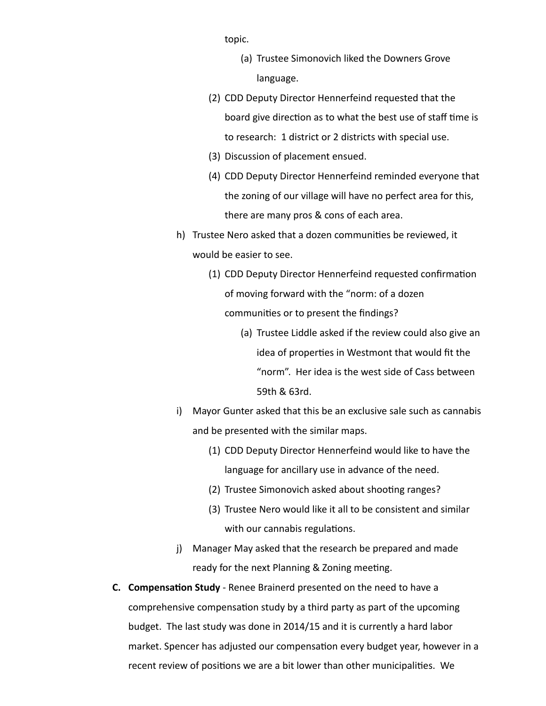topic.

- (a) Trustee Simonovich liked the Downers Grove language.
- (2) CDD Deputy Director Hennerfeind requested that the board give direction as to what the best use of staff time is to research: 1 district or 2 districts with special use.
- (3) Discussion of placement ensued.
- (4) CDD Deputy Director Hennerfeind reminded everyone that the zoning of our village will have no perfect area for this, there are many pros & cons of each area.
- h) Trustee Nero asked that a dozen communities be reviewed, it would be easier to see.
	- (1) CDD Deputy Director Hennerfeind requested confirmation of moving forward with the "norm: of a dozen communities or to present the findings?
		- (a) Trustee Liddle asked if the review could also give an idea of properties in Westmont that would fit the "norm". Her idea is the west side of Cass between 59th & 63rd.
- i) Mayor Gunter asked that this be an exclusive sale such as cannabis and be presented with the similar maps.
	- (1) CDD Deputy Director Hennerfeind would like to have the language for ancillary use in advance of the need.
	- (2) Trustee Simonovich asked about shooting ranges?
	- (3) Trustee Nero would like it all to be consistent and similar with our cannabis regulations.
- j) Manager May asked that the research be prepared and made ready for the next Planning & Zoning meeting.
- **C.** Compensation Study Renee Brainerd presented on the need to have a comprehensive compensation study by a third party as part of the upcoming budget. The last study was done in 2014/15 and it is currently a hard labor market. Spencer has adjusted our compensation every budget year, however in a recent review of positions we are a bit lower than other municipalities. We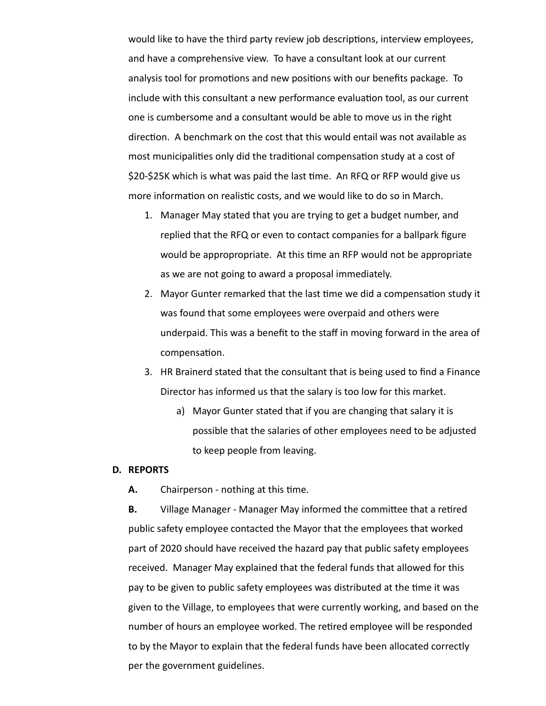would like to have the third party review job descriptions, interview employees, and have a comprehensive view. To have a consultant look at our current analysis tool for promotions and new positions with our benefits package. To include with this consultant a new performance evaluation tool, as our current one is cumbersome and a consultant would be able to move us in the right direction. A benchmark on the cost that this would entail was not available as most municipalities only did the traditional compensation study at a cost of \$20-\$25K which is what was paid the last time. An RFQ or RFP would give us more information on realistic costs, and we would like to do so in March.

- 1. Manager May stated that you are trying to get a budget number, and replied that the RFQ or even to contact companies for a ballpark figure would be appropropriate. At this time an RFP would not be appropriate as we are not going to award a proposal immediately.
- 2. Mayor Gunter remarked that the last time we did a compensation study it was found that some employees were overpaid and others were underpaid. This was a benefit to the staff in moving forward in the area of compensation.
- 3. HR Brainerd stated that the consultant that is being used to find a Finance Director has informed us that the salary is too low for this market.
	- a) Mayor Gunter stated that if you are changing that salary it is possible that the salaries of other employees need to be adjusted to keep people from leaving.

#### **D. REPORTS**

**A.** Chairperson - nothing at this time.

**B.** Village Manager - Manager May informed the committee that a retired public safety employee contacted the Mayor that the employees that worked part of 2020 should have received the hazard pay that public safety employees received. Manager May explained that the federal funds that allowed for this pay to be given to public safety employees was distributed at the time it was given to the Village, to employees that were currently working, and based on the number of hours an employee worked. The retired employee will be responded to by the Mayor to explain that the federal funds have been allocated correctly per the government guidelines.